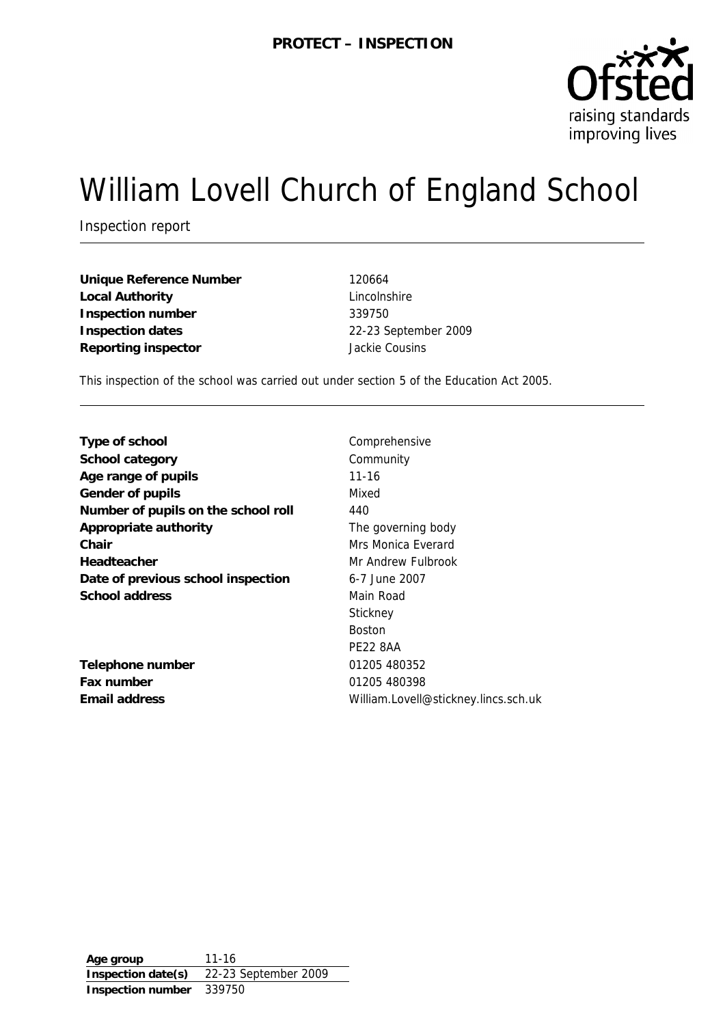

# William Lovell Church of England School

Inspection report

**Unique Reference Number** 120664 **Local Authority** Lincolnshire **Inspection number** 339750 **Inspection dates** 22-23 September 2009 **Reporting inspector Constant Cousing Properties** 

This inspection of the school was carried out under section 5 of the Education Act 2005.

| Type of school                      | Comp      |
|-------------------------------------|-----------|
| School category                     | Comn      |
| Age range of pupils                 | $11 - 16$ |
| Gender of pupils                    | Mixed     |
| Number of pupils on the school roll | 440       |
| Appropriate authority               | The g     |
| Chair                               | Mrs M     |
| Headteacher                         | Mr An     |
| Date of previous school inspection  | 6-7 Ju    |
| School address                      | Main I    |
|                                     | Stickn    |
|                                     | D - - + - |

**Telephone number** 01205 480352 **Fax number** 01205 480398

Comprehensive **Community** The governing body **Mrs Monica Everard Mr Andrew Fulbrook Date of previous school inspection** 6-7 June 2007 **Main Road Stickney** Boston PE22 8AA **Email address** William.Lovell@stickney.lincs.sch.uk

**Age group** 11-16 **Inspection date(s)** 22-23 September 2009 **Inspection number** 339750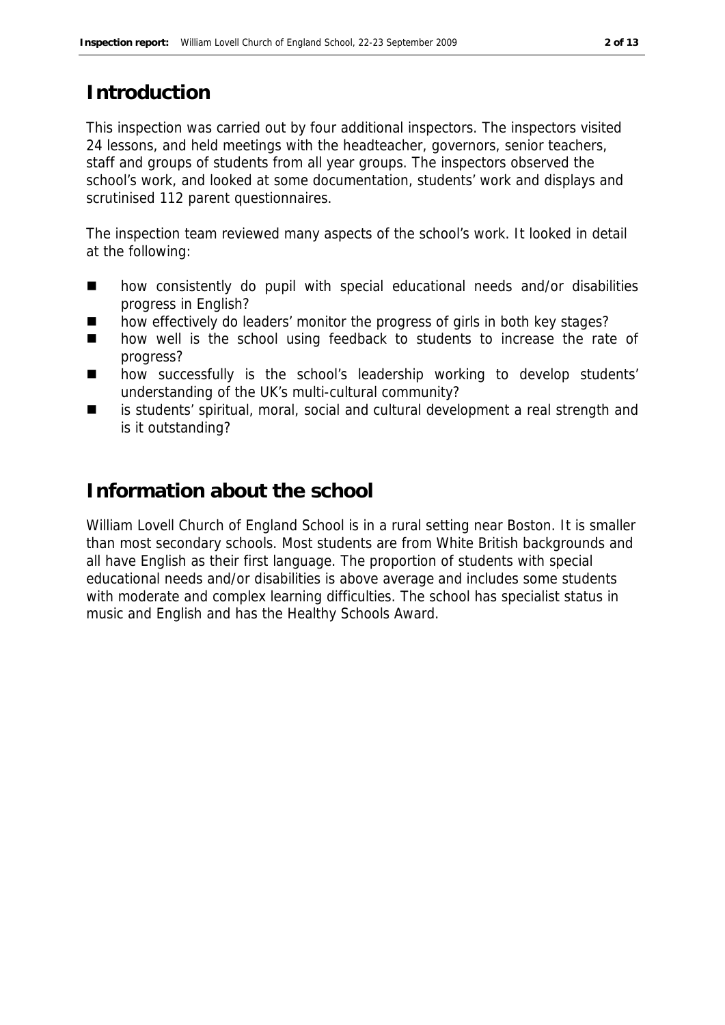# **Introduction**

This inspection was carried out by four additional inspectors. The inspectors visited 24 lessons, and held meetings with the headteacher, governors, senior teachers, staff and groups of students from all year groups. The inspectors observed the school's work, and looked at some documentation, students' work and displays and scrutinised 112 parent questionnaires.

The inspection team reviewed many aspects of the school's work. It looked in detail at the following:

- how consistently do pupil with special educational needs and/or disabilities progress in English?
- how effectively do leaders' monitor the progress of girls in both key stages?
- how well is the school using feedback to students to increase the rate of progress?
- how successfully is the school's leadership working to develop students' understanding of the UK's multi-cultural community?
- is students' spiritual, moral, social and cultural development a real strength and is it outstanding?

# **Information about the school**

William Lovell Church of England School is in a rural setting near Boston. It is smaller than most secondary schools. Most students are from White British backgrounds and all have English as their first language. The proportion of students with special educational needs and/or disabilities is above average and includes some students with moderate and complex learning difficulties. The school has specialist status in music and English and has the Healthy Schools Award.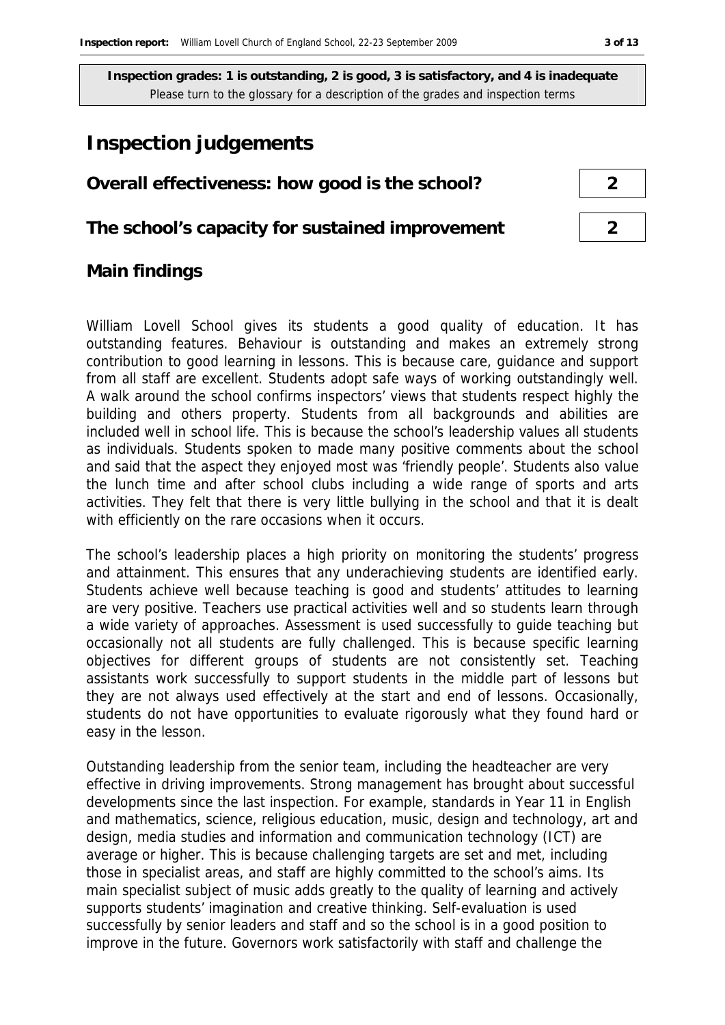# **Inspection judgements**

#### **Overall effectiveness: how good is the school? 2**

**The school's capacity for sustained improvement 2**

# **Main findings**

William Lovell School gives its students a good quality of education. It has outstanding features. Behaviour is outstanding and makes an extremely strong contribution to good learning in lessons. This is because care, guidance and support from all staff are excellent. Students adopt safe ways of working outstandingly well. A walk around the school confirms inspectors' views that students respect highly the building and others property. Students from all backgrounds and abilities are included well in school life. This is because the school's leadership values all students as individuals. Students spoken to made many positive comments about the school and said that the aspect they enjoyed most was 'friendly people'. Students also value the lunch time and after school clubs including a wide range of sports and arts activities. They felt that there is very little bullying in the school and that it is dealt with efficiently on the rare occasions when it occurs.

The school's leadership places a high priority on monitoring the students' progress and attainment. This ensures that any underachieving students are identified early. Students achieve well because teaching is good and students' attitudes to learning are very positive. Teachers use practical activities well and so students learn through a wide variety of approaches. Assessment is used successfully to guide teaching but occasionally not all students are fully challenged. This is because specific learning objectives for different groups of students are not consistently set. Teaching assistants work successfully to support students in the middle part of lessons but they are not always used effectively at the start and end of lessons. Occasionally, students do not have opportunities to evaluate rigorously what they found hard or easy in the lesson.

Outstanding leadership from the senior team, including the headteacher are very effective in driving improvements. Strong management has brought about successful developments since the last inspection. For example, standards in Year 11 in English and mathematics, science, religious education, music, design and technology, art and design, media studies and information and communication technology (ICT) are average or higher. This is because challenging targets are set and met, including those in specialist areas, and staff are highly committed to the school's aims. Its main specialist subject of music adds greatly to the quality of learning and actively supports students' imagination and creative thinking. Self-evaluation is used successfully by senior leaders and staff and so the school is in a good position to improve in the future. Governors work satisfactorily with staff and challenge the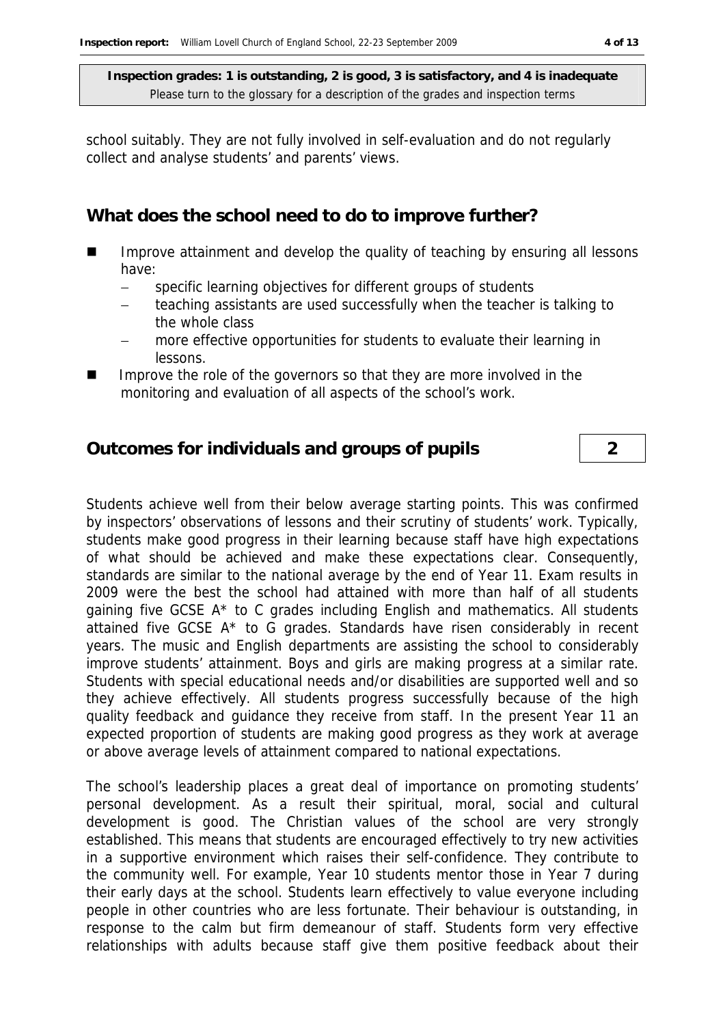school suitably. They are not fully involved in self-evaluation and do not regularly collect and analyse students' and parents' views.

**What does the school need to do to improve further?**

- Improve attainment and develop the quality of teaching by ensuring all lessons have:
	- specific learning objectives for different groups of students
	- teaching assistants are used successfully when the teacher is talking to the whole class
	- more effective opportunities for students to evaluate their learning in lessons.
- Improve the role of the governors so that they are more involved in the monitoring and evaluation of all aspects of the school's work.

#### **Outcomes for individuals and groups of pupils 2**

Students achieve well from their below average starting points. This was confirmed by inspectors' observations of lessons and their scrutiny of students' work. Typically, students make good progress in their learning because staff have high expectations of what should be achieved and make these expectations clear. Consequently, standards are similar to the national average by the end of Year 11. Exam results in 2009 were the best the school had attained with more than half of all students gaining five GCSE A\* to C grades including English and mathematics. All students attained five GCSE A\* to G grades. Standards have risen considerably in recent years. The music and English departments are assisting the school to considerably improve students' attainment. Boys and girls are making progress at a similar rate. Students with special educational needs and/or disabilities are supported well and so they achieve effectively. All students progress successfully because of the high quality feedback and guidance they receive from staff. In the present Year 11 an expected proportion of students are making good progress as they work at average or above average levels of attainment compared to national expectations.

The school's leadership places a great deal of importance on promoting students' personal development. As a result their spiritual, moral, social and cultural development is good. The Christian values of the school are very strongly established. This means that students are encouraged effectively to try new activities in a supportive environment which raises their self-confidence. They contribute to the community well. For example, Year 10 students mentor those in Year 7 during their early days at the school. Students learn effectively to value everyone including people in other countries who are less fortunate. Their behaviour is outstanding, in response to the calm but firm demeanour of staff. Students form very effective relationships with adults because staff give them positive feedback about their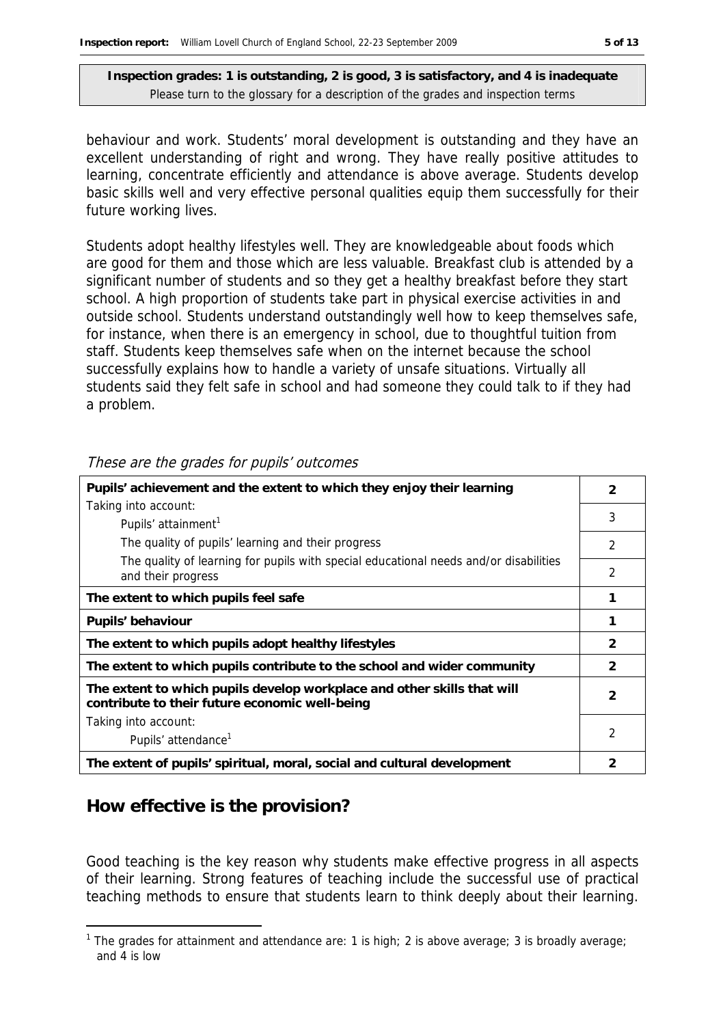behaviour and work. Students' moral development is outstanding and they have an excellent understanding of right and wrong. They have really positive attitudes to learning, concentrate efficiently and attendance is above average. Students develop basic skills well and very effective personal qualities equip them successfully for their future working lives.

Students adopt healthy lifestyles well. They are knowledgeable about foods which are good for them and those which are less valuable. Breakfast club is attended by a significant number of students and so they get a healthy breakfast before they start school. A high proportion of students take part in physical exercise activities in and outside school. Students understand outstandingly well how to keep themselves safe, for instance, when there is an emergency in school, due to thoughtful tuition from staff. Students keep themselves safe when on the internet because the school successfully explains how to handle a variety of unsafe situations. Virtually all students said they felt safe in school and had someone they could talk to if they had a problem.

| Pupils' achievement and the extent to which they enjoy their learning                                                     |                |  |
|---------------------------------------------------------------------------------------------------------------------------|----------------|--|
| Taking into account:                                                                                                      |                |  |
| Pupils' attainment <sup>1</sup>                                                                                           | 3              |  |
| The quality of pupils' learning and their progress                                                                        | $\overline{2}$ |  |
| The quality of learning for pupils with special educational needs and/or disabilities<br>and their progress               | $\overline{2}$ |  |
| The extent to which pupils feel safe                                                                                      |                |  |
| Pupils' behaviour                                                                                                         |                |  |
| The extent to which pupils adopt healthy lifestyles                                                                       | $\mathcal{P}$  |  |
| The extent to which pupils contribute to the school and wider community                                                   | $\mathcal{P}$  |  |
| The extent to which pupils develop workplace and other skills that will<br>contribute to their future economic well-being | $\mathcal{P}$  |  |
| Taking into account:                                                                                                      |                |  |
| Pupils' attendance <sup>1</sup>                                                                                           | 2              |  |
| The extent of pupils' spiritual, moral, social and cultural development                                                   | 2              |  |

These are the grades for pupils' outcomes

### **How effective is the provision?**

-

Good teaching is the key reason why students make effective progress in all aspects of their learning. Strong features of teaching include the successful use of practical teaching methods to ensure that students learn to think deeply about their learning.

<sup>&</sup>lt;sup>1</sup> The grades for attainment and attendance are: 1 is high; 2 is above average; 3 is broadly average; and 4 is low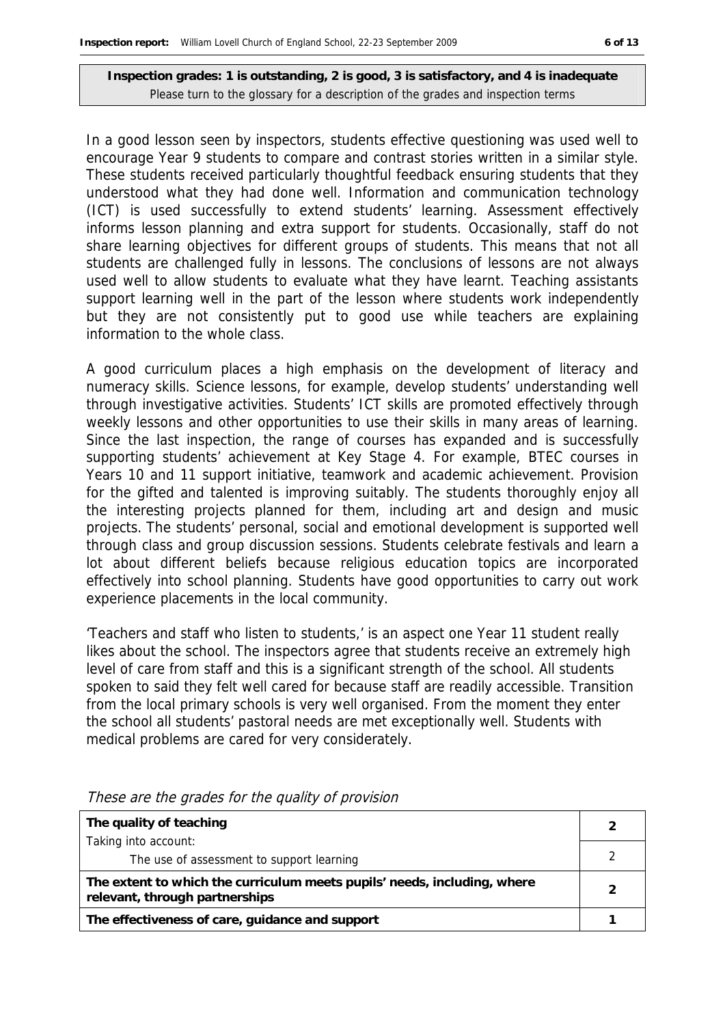In a good lesson seen by inspectors, students effective questioning was used well to encourage Year 9 students to compare and contrast stories written in a similar style. These students received particularly thoughtful feedback ensuring students that they understood what they had done well. Information and communication technology (ICT) is used successfully to extend students' learning. Assessment effectively informs lesson planning and extra support for students. Occasionally, staff do not share learning objectives for different groups of students. This means that not all students are challenged fully in lessons. The conclusions of lessons are not always used well to allow students to evaluate what they have learnt. Teaching assistants support learning well in the part of the lesson where students work independently but they are not consistently put to good use while teachers are explaining information to the whole class.

A good curriculum places a high emphasis on the development of literacy and numeracy skills. Science lessons, for example, develop students' understanding well through investigative activities. Students' ICT skills are promoted effectively through weekly lessons and other opportunities to use their skills in many areas of learning. Since the last inspection, the range of courses has expanded and is successfully supporting students' achievement at Key Stage 4. For example, BTEC courses in Years 10 and 11 support initiative, teamwork and academic achievement. Provision for the gifted and talented is improving suitably. The students thoroughly enjoy all the interesting projects planned for them, including art and design and music projects. The students' personal, social and emotional development is supported well through class and group discussion sessions. Students celebrate festivals and learn a lot about different beliefs because religious education topics are incorporated effectively into school planning. Students have good opportunities to carry out work experience placements in the local community.

'Teachers and staff who listen to students,' is an aspect one Year 11 student really likes about the school. The inspectors agree that students receive an extremely high level of care from staff and this is a significant strength of the school. All students spoken to said they felt well cared for because staff are readily accessible. Transition from the local primary schools is very well organised. From the moment they enter the school all students' pastoral needs are met exceptionally well. Students with medical problems are cared for very considerately.

| The quality of teaching                                                                                    |  |
|------------------------------------------------------------------------------------------------------------|--|
| Taking into account:                                                                                       |  |
| The use of assessment to support learning                                                                  |  |
| The extent to which the curriculum meets pupils' needs, including, where<br>relevant, through partnerships |  |
| The effectiveness of care, guidance and support                                                            |  |

These are the grades for the quality of provision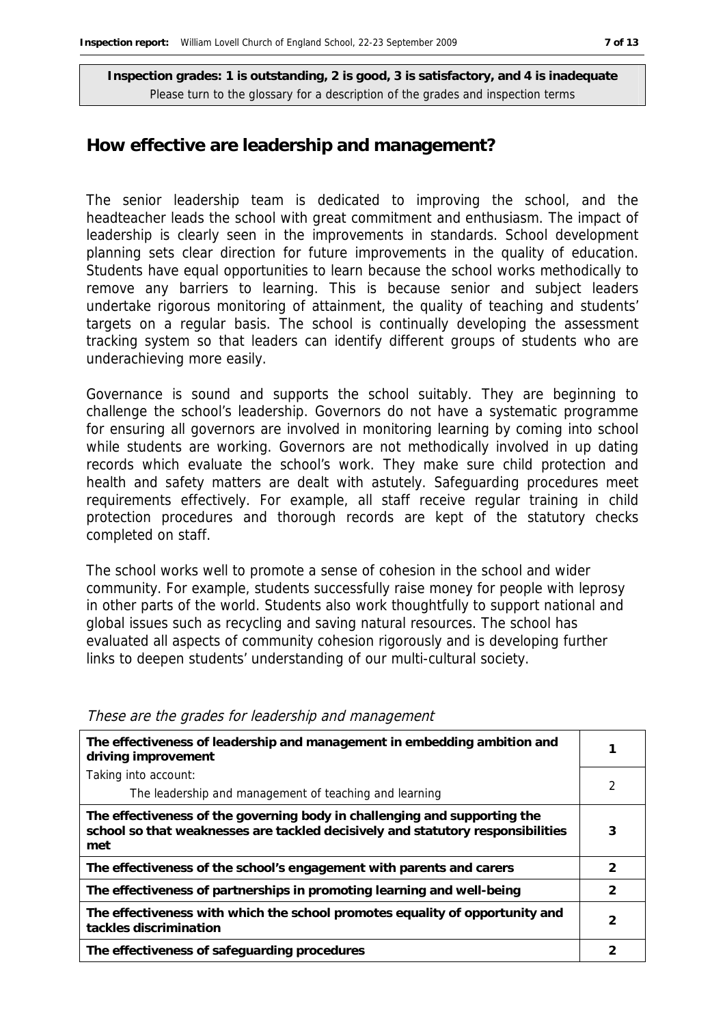#### **How effective are leadership and management?**

The senior leadership team is dedicated to improving the school, and the headteacher leads the school with great commitment and enthusiasm. The impact of leadership is clearly seen in the improvements in standards. School development planning sets clear direction for future improvements in the quality of education. Students have equal opportunities to learn because the school works methodically to remove any barriers to learning. This is because senior and subject leaders undertake rigorous monitoring of attainment, the quality of teaching and students' targets on a regular basis. The school is continually developing the assessment tracking system so that leaders can identify different groups of students who are underachieving more easily.

Governance is sound and supports the school suitably. They are beginning to challenge the school's leadership. Governors do not have a systematic programme for ensuring all governors are involved in monitoring learning by coming into school while students are working. Governors are not methodically involved in up dating records which evaluate the school's work. They make sure child protection and health and safety matters are dealt with astutely. Safeguarding procedures meet requirements effectively. For example, all staff receive regular training in child protection procedures and thorough records are kept of the statutory checks completed on staff.

The school works well to promote a sense of cohesion in the school and wider community. For example, students successfully raise money for people with leprosy in other parts of the world. Students also work thoughtfully to support national and global issues such as recycling and saving natural resources. The school has evaluated all aspects of community cohesion rigorously and is developing further links to deepen students' understanding of our multi-cultural society.

| The effectiveness of leadership and management in embedding ambition and<br>driving improvement                                                                     |   |
|---------------------------------------------------------------------------------------------------------------------------------------------------------------------|---|
| Taking into account:                                                                                                                                                |   |
| The leadership and management of teaching and learning                                                                                                              |   |
| The effectiveness of the governing body in challenging and supporting the<br>school so that weaknesses are tackled decisively and statutory responsibilities<br>met | 3 |
| The effectiveness of the school's engagement with parents and carers                                                                                                | 2 |
| The effectiveness of partnerships in promoting learning and well-being                                                                                              | 2 |
| The effectiveness with which the school promotes equality of opportunity and<br>tackles discrimination                                                              | 2 |
| The effectiveness of safeguarding procedures                                                                                                                        |   |

|  |  |  | These are the grades for leadership and management |
|--|--|--|----------------------------------------------------|
|  |  |  |                                                    |
|  |  |  |                                                    |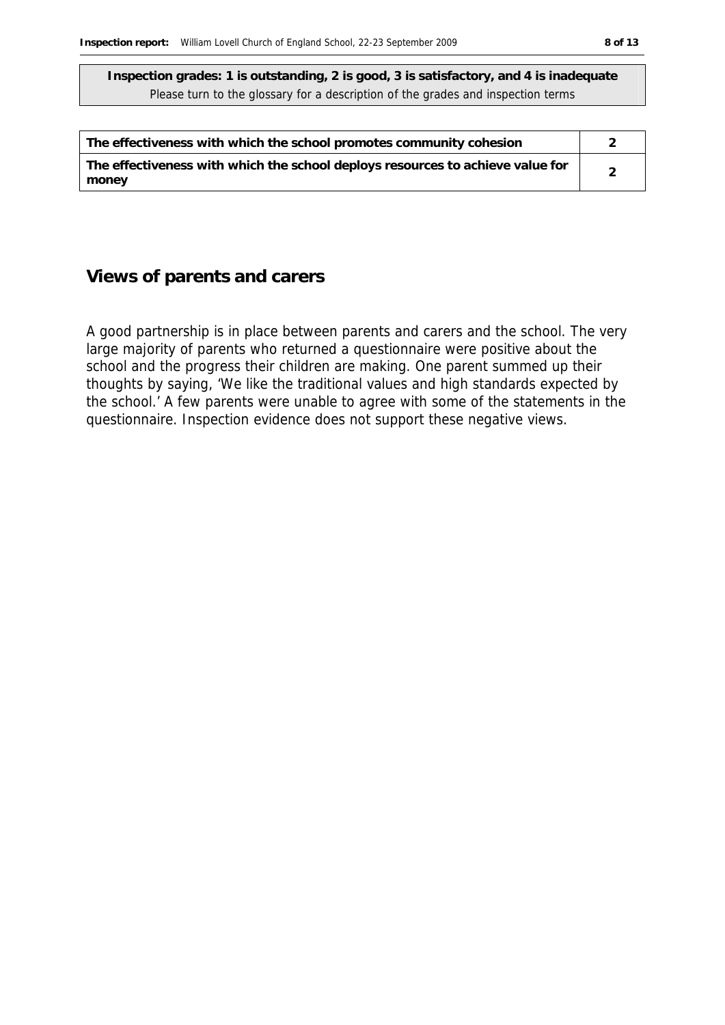| The effectiveness with which the school promotes community cohesion                     |  |
|-----------------------------------------------------------------------------------------|--|
| The effectiveness with which the school deploys resources to achieve value for<br>money |  |

#### **Views of parents and carers**

A good partnership is in place between parents and carers and the school. The very large majority of parents who returned a questionnaire were positive about the school and the progress their children are making. One parent summed up their thoughts by saying, 'We like the traditional values and high standards expected by the school.' A few parents were unable to agree with some of the statements in the questionnaire. Inspection evidence does not support these negative views.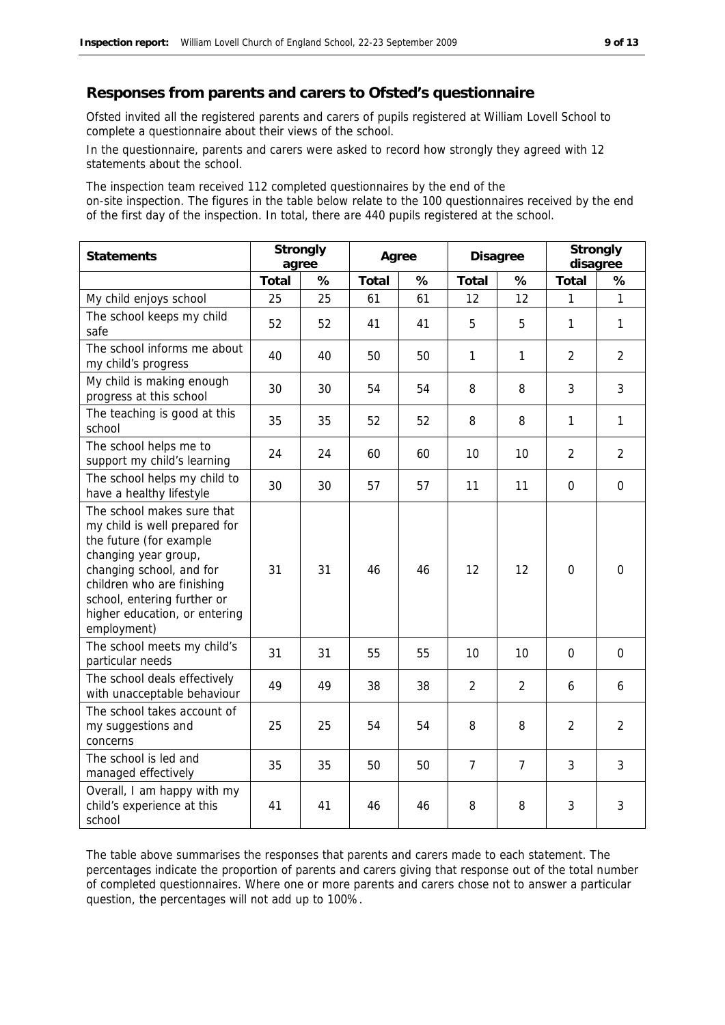#### **Responses from parents and carers to Ofsted's questionnaire**

Ofsted invited all the registered parents and carers of pupils registered at William Lovell School to complete a questionnaire about their views of the school.

In the questionnaire, parents and carers were asked to record how strongly they agreed with 12 statements about the school.

The inspection team received 112 completed questionnaires by the end of the on-site inspection. The figures in the table below relate to the 100 questionnaires received by the end of the first day of the inspection. In total, there are 440 pupils registered at the school.

| Statements                                                                                                                                                                                                                                              | Strongly<br>agree |    | Agree |    | <b>Disagree</b> |                | Strongly<br>disagree |                |
|---------------------------------------------------------------------------------------------------------------------------------------------------------------------------------------------------------------------------------------------------------|-------------------|----|-------|----|-----------------|----------------|----------------------|----------------|
|                                                                                                                                                                                                                                                         | Total             | %  | Total | %  | Total           | %              | Total                | %              |
| My child enjoys school                                                                                                                                                                                                                                  | 25                | 25 | 61    | 61 | 12              | 12             | 1                    | $\mathbf{1}$   |
| The school keeps my child<br>safe                                                                                                                                                                                                                       | 52                | 52 | 41    | 41 | 5               | 5              | $\mathbf{1}$         | 1              |
| The school informs me about<br>my child's progress                                                                                                                                                                                                      | 40                | 40 | 50    | 50 | $\mathbf{1}$    | 1              | $\overline{2}$       | $\overline{2}$ |
| My child is making enough<br>progress at this school                                                                                                                                                                                                    | 30                | 30 | 54    | 54 | 8               | 8              | 3                    | 3              |
| The teaching is good at this<br>school                                                                                                                                                                                                                  | 35                | 35 | 52    | 52 | 8               | 8              | 1                    | $\mathbf{1}$   |
| The school helps me to<br>support my child's learning                                                                                                                                                                                                   | 24                | 24 | 60    | 60 | 10              | 10             | $\overline{2}$       | $\overline{2}$ |
| The school helps my child to<br>have a healthy lifestyle                                                                                                                                                                                                | 30                | 30 | 57    | 57 | 11              | 11             | $\mathbf{0}$         | $\mathbf 0$    |
| The school makes sure that<br>my child is well prepared for<br>the future (for example<br>changing year group,<br>changing school, and for<br>children who are finishing<br>school, entering further or<br>higher education, or entering<br>employment) | 31                | 31 | 46    | 46 | 12              | 12             | $\overline{0}$       | $\Omega$       |
| The school meets my child's<br>particular needs                                                                                                                                                                                                         | 31                | 31 | 55    | 55 | 10              | 10             | $\Omega$             | $\mathbf 0$    |
| The school deals effectively<br>with unacceptable behaviour                                                                                                                                                                                             | 49                | 49 | 38    | 38 | $\overline{2}$  | $\overline{2}$ | 6                    | 6              |
| The school takes account of<br>my suggestions and<br>concerns                                                                                                                                                                                           | 25                | 25 | 54    | 54 | 8               | 8              | $\overline{2}$       | $\overline{2}$ |
| The school is led and<br>managed effectively                                                                                                                                                                                                            | 35                | 35 | 50    | 50 | $\overline{7}$  | $\overline{7}$ | 3                    | 3              |
| Overall, I am happy with my<br>child's experience at this<br>school                                                                                                                                                                                     | 41                | 41 | 46    | 46 | 8               | 8              | 3                    | 3              |

The table above summarises the responses that parents and carers made to each statement. The percentages indicate the proportion of parents and carers giving that response out of the total number of completed questionnaires. Where one or more parents and carers chose not to answer a particular question, the percentages will not add up to 100%.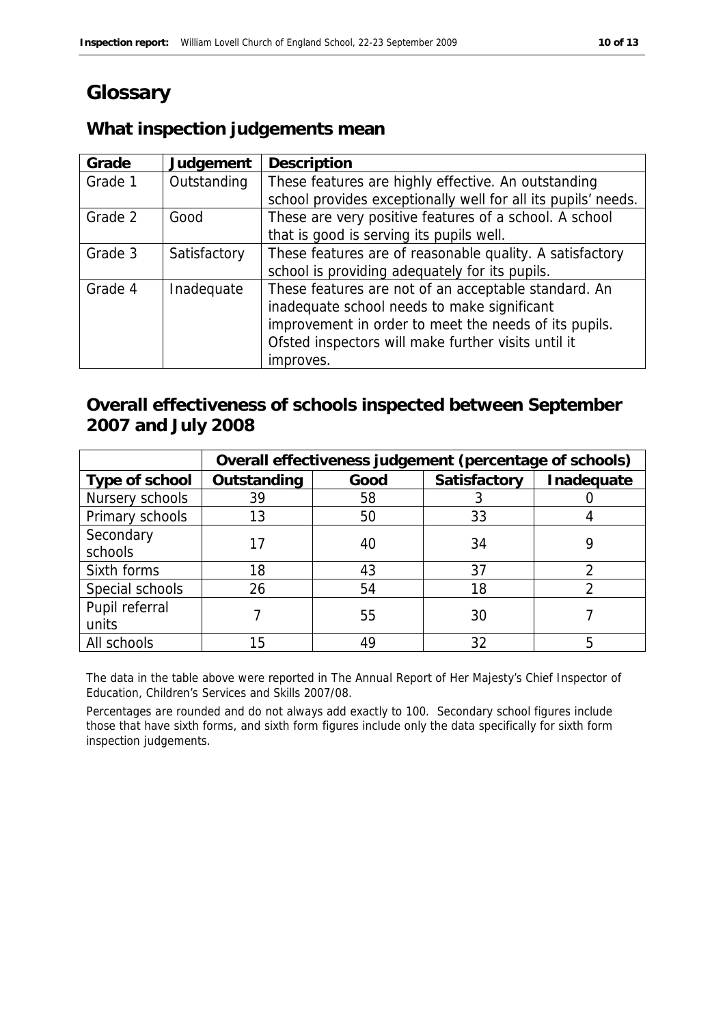# **Glossary**

#### **What inspection judgements mean**

| Grade   | Judgement    | Description                                                   |
|---------|--------------|---------------------------------------------------------------|
| Grade 1 | Outstanding  | These features are highly effective. An outstanding           |
|         |              | school provides exceptionally well for all its pupils' needs. |
| Grade 2 | Good         | These are very positive features of a school. A school        |
|         |              | that is good is serving its pupils well.                      |
| Grade 3 | Satisfactory | These features are of reasonable quality. A satisfactory      |
|         |              | school is providing adequately for its pupils.                |
| Grade 4 | Inadequate   | These features are not of an acceptable standard. An          |
|         |              | inadequate school needs to make significant                   |
|         |              | improvement in order to meet the needs of its pupils.         |
|         |              | Ofsted inspectors will make further visits until it           |
|         |              | improves.                                                     |

#### **Overall effectiveness of schools inspected between September 2007 and July 2008**

|                 | Overall effectiveness judgement (percentage of schools) |      |              |            |  |
|-----------------|---------------------------------------------------------|------|--------------|------------|--|
| Type of school  | Outstanding                                             | Good | Satisfactory | Inadequate |  |
| Nursery schools | 39                                                      | 58   |              |            |  |
| Primary schools | 13                                                      | 50   | 33           |            |  |
| Secondary       |                                                         |      | 34           |            |  |
| schools         |                                                         | 40   |              |            |  |
| Sixth forms     | 18                                                      | 43   | 37           |            |  |
| Special schools | 26                                                      | 54   | 18           |            |  |
| Pupil referral  |                                                         |      | 30           |            |  |
| units           |                                                         | 55   |              |            |  |
| All schools     | 15                                                      | 49   | 32           |            |  |

The data in the table above were reported in The Annual Report of Her Majesty's Chief Inspector of Education, Children's Services and Skills 2007/08.

Percentages are rounded and do not always add exactly to 100. Secondary school figures include those that have sixth forms, and sixth form figures include only the data specifically for sixth form inspection judgements.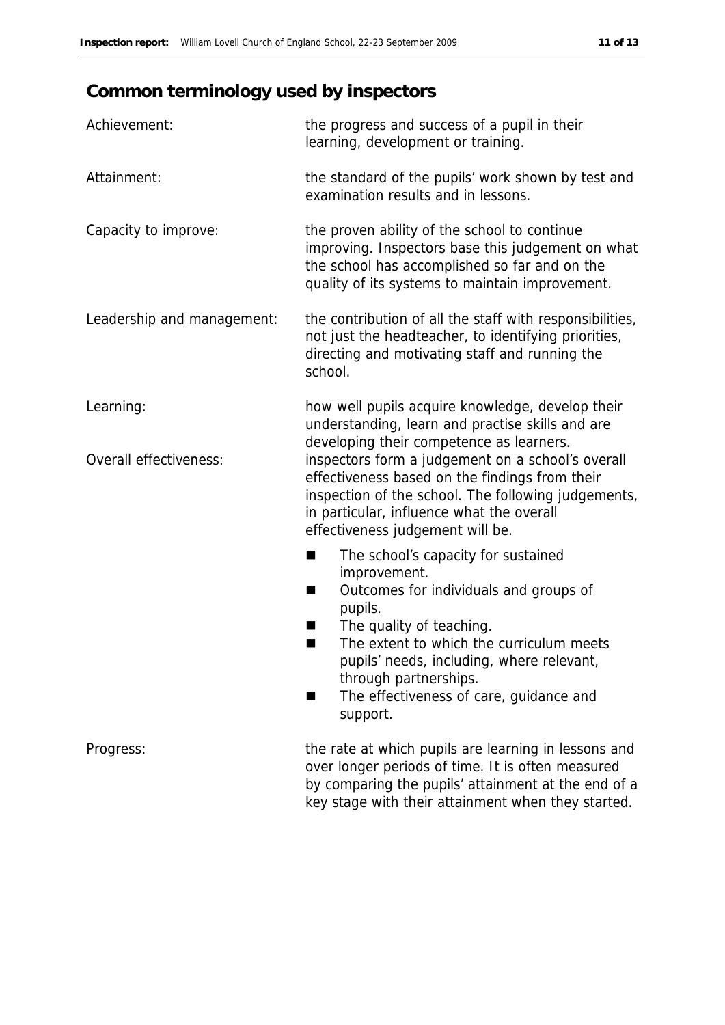# **Common terminology used by inspectors**

| Achievement:               | the progress and success of a pupil in their<br>learning, development or training.                                                                                                                                                          |
|----------------------------|---------------------------------------------------------------------------------------------------------------------------------------------------------------------------------------------------------------------------------------------|
| Attainment:                | the standard of the pupils' work shown by test and<br>examination results and in lessons.                                                                                                                                                   |
| Capacity to improve:       | the proven ability of the school to continue<br>improving. Inspectors base this judgement on what<br>the school has accomplished so far and on the<br>quality of its systems to maintain improvement.                                       |
| Leadership and management: | the contribution of all the staff with responsibilities,<br>not just the headteacher, to identifying priorities,<br>directing and motivating staff and running the<br>school.                                                               |
| Learning:                  | how well pupils acquire knowledge, develop their<br>understanding, learn and practise skills and are<br>developing their competence as learners.                                                                                            |
| Overall effectiveness:     | inspectors form a judgement on a school's overall<br>effectiveness based on the findings from their<br>inspection of the school. The following judgements,<br>in particular, influence what the overall<br>effectiveness judgement will be. |
|                            | The school's capacity for sustained<br>■                                                                                                                                                                                                    |
|                            | improvement.<br>Outcomes for individuals and groups of<br>■<br>pupils.                                                                                                                                                                      |
|                            | The quality of teaching.<br>H<br>The extent to which the curriculum meets<br>■<br>pupils' needs, including, where relevant,                                                                                                                 |
|                            | through partnerships.<br>The effectiveness of care, guidance and<br>support.                                                                                                                                                                |
| Progress:                  | the rate at which pupils are learning in lessons and<br>over longer periods of time. It is often measured<br>by comparing the pupils' attainment at the end of a                                                                            |

key stage with their attainment when they started.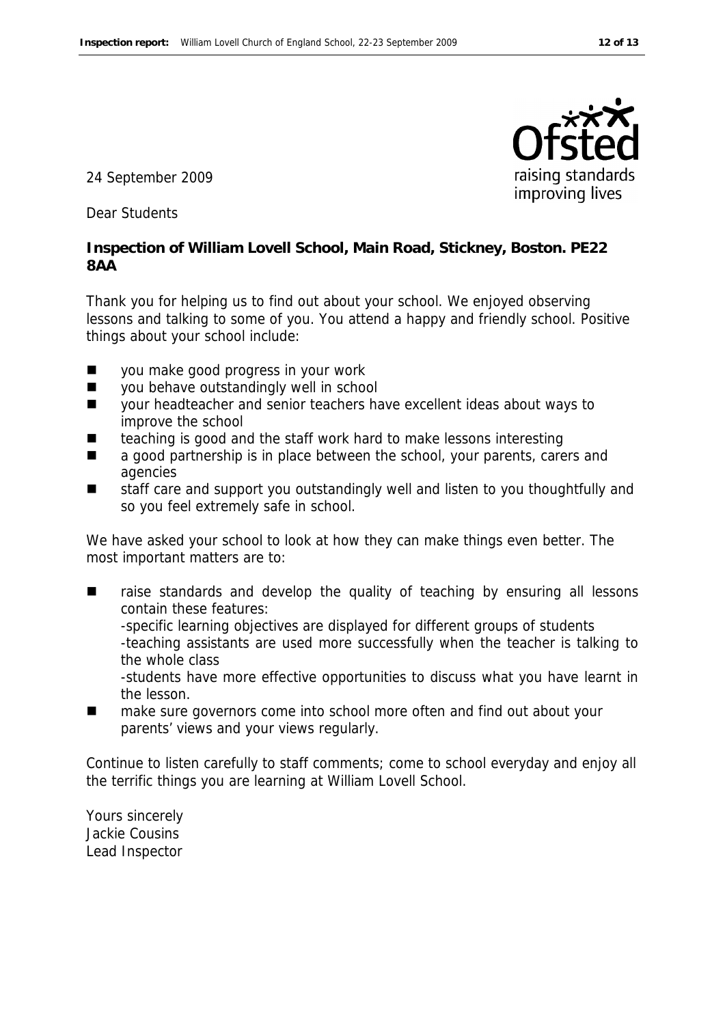

24 September 2009

Dear Students

**Inspection of William Lovell School, Main Road, Stickney, Boston. PE22 8AA**

Thank you for helping us to find out about your school. We enjoyed observing lessons and talking to some of you. You attend a happy and friendly school. Positive things about your school include:

- you make good progress in your work
- vou behave outstandingly well in school
- your headteacher and senior teachers have excellent ideas about ways to improve the school
- teaching is good and the staff work hard to make lessons interesting
- a good partnership is in place between the school, your parents, carers and agencies
- staff care and support you outstandingly well and listen to you thoughtfully and so you feel extremely safe in school.

We have asked your school to look at how they can make things even better. The most important matters are to:

- raise standards and develop the quality of teaching by ensuring all lessons contain these features: -specific learning objectives are displayed for different groups of students -teaching assistants are used more successfully when the teacher is talking to the whole class -students have more effective opportunities to discuss what you have learnt in the lesson.
- make sure governors come into school more often and find out about your parents' views and your views regularly.

Continue to listen carefully to staff comments; come to school everyday and enjoy all the terrific things you are learning at William Lovell School.

Yours sincerely Jackie Cousins Lead Inspector